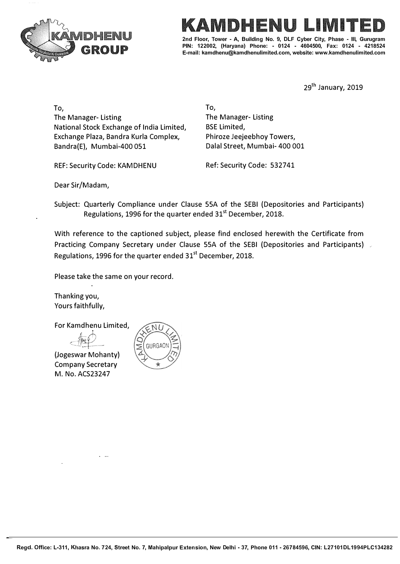



2nd Floor, Tower - A, Building No. 9, DLF Cyber City, Phase - III, Gurugram **PIN: 122002, (Haryana) Phone: - 0124 - 4604500, Fax: 0124 • 4218524 E-mail: karndhenu@karndhenulirnited.com, website: www.karndhenulirnited.com**

29<sup>th</sup> January, 2019

To, The Manager- Listing National Stock Exchange of India Limited, Exchange Plaza, Bandra Kurla Complex, Bandra(E), Mumbai-400 051

REF: Security Code: KAMDHENU Ref: Security Code: 532741

**To,**  The Manager- Listing BSE Limited, Phiroze Jeejeebhoy Towers, Dalal Street, Mumbai- 400 001

Dear Sir/Madam,

Subject: Quarterly Compliance under Clause SSA of the SEBI (Depositories and Participants) Regulations, 1996 for the quarter ended 31<sup>st</sup> December, 2018.

With reference to the captioned subject, please find enclosed herewith the Certificate from Practicing Company Secretary under Clause 55A of the SEBI (Depositories and Participants) Regulations, 1996 for the quarter ended 31<sup>st</sup> December, 2018.

Please take the same on your record.

Thanking you, Yours faithfully,

For Kamdhenu Limited,

(Jogeswar Mohanty) Company Secretary M. No. ACS23247

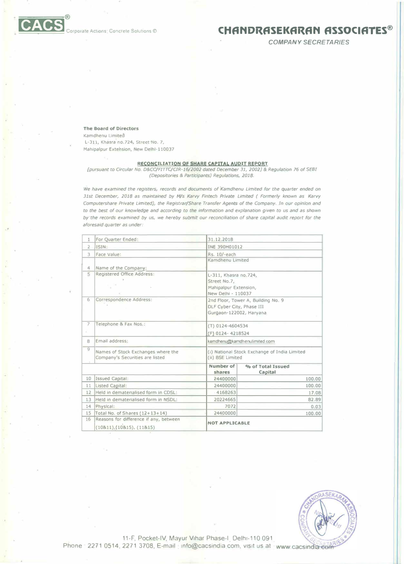## \_:::\_;::;;;;;;:::;;;;;:::::;;® [� Corporate Actions Concrete Solut,ons � **CHANDRASEKARAN ASSOCIATES®**

*COMPANY SECRETARIES* 

## **The Board of Directors**

'.

Kamdhenu Limited L-Jll, Khasra no.724, Street'No. 7, Mahipalpur Extension, New Delhl-110037

## **RECONCILIATION OF SHARE CAPITAL AUDIT REPORT**

*[pursuant to Circular No. D&CC/FITTC/CIR-16/2002 dated December 31, 2002)* **&** *Regulation* **76** *of SEBI (Depositories* **&** *Participants) Regulations, 2018.* 

We have examined the registers, records and documents of Kamdhenu Limited for the quarter ended on *31st December, 2018 as maintained by M/s Karvy Fintech Private Limited ( Formerly known as Karvy Computershare Private Limited), the Registrar/Share Transfer Agents of the Company. In our opinion and to the best of our knowledge and according to the information and explanation given to us and as shown*  by the records examined by us, we hereby submit our reconciliation of share capital audit report for the *aforesaid quarter as under:* 

| 1              | For Ouarter Ended:                                                    | 31.12.2018                                                                           |                              |  |  |  |
|----------------|-----------------------------------------------------------------------|--------------------------------------------------------------------------------------|------------------------------|--|--|--|
| $\overline{2}$ | ISIN:                                                                 | INE 390H01012                                                                        |                              |  |  |  |
| R              | Face Value:                                                           | Rs. 10/-each                                                                         |                              |  |  |  |
|                |                                                                       | Kamdhenu Limited                                                                     |                              |  |  |  |
| 4              | Name of the Company:                                                  |                                                                                      |                              |  |  |  |
| 5              | Registered Office Address:                                            | L-311, Khasra no.724,<br>Street No.7,<br>Mahipalpur Extension,<br>New Delhi - 110037 |                              |  |  |  |
| 6              | Correspondence Address:                                               | 2nd Floor, Tower A, Building No. 9                                                   |                              |  |  |  |
|                |                                                                       | DLF Cyber City, Phase III<br>Gurgaon-122002, Haryana                                 |                              |  |  |  |
|                |                                                                       |                                                                                      |                              |  |  |  |
| $\overline{7}$ | Telephone & Fax Nos.:                                                 | $(T)$ 0124-4604534                                                                   |                              |  |  |  |
|                |                                                                       | (F) 0124-4218524                                                                     |                              |  |  |  |
| 8              | Email address:                                                        | kamdhenu@kamdhenulimited.com                                                         |                              |  |  |  |
| 9              | Names of Stock Exchanges where the<br>Company's Securities are listed | (i) National Stock Exchange of India Limited<br>(ii) BSE Limited                     |                              |  |  |  |
|                |                                                                       | Number of<br>shares                                                                  | % of Total Issued<br>Capital |  |  |  |
| 10             | <b>Issued Capital:</b>                                                | 24400000                                                                             | 100.00                       |  |  |  |
| 11             | Listed Capital:                                                       | 24400000                                                                             | 100.00                       |  |  |  |
| 12             | Held in dematerialised form in CDSL:                                  | 4168263                                                                              | 17.08                        |  |  |  |
| 13             | Held in dematerialised form in NSDL:                                  | 20224665                                                                             | 82.89                        |  |  |  |
| 14             | Physical:                                                             | 7072                                                                                 | 0.03                         |  |  |  |
| 15             | Total No. of Shares (12+13+14)                                        | 24400000                                                                             | 100.00                       |  |  |  |
| 16             | Reasons for difference if any, between<br>(10811), (10815), (11815)   | <b>NOT APPLICABLE</b>                                                                |                              |  |  |  |



11-F, Pocket-IV, Mayur Vihar Phase-I, Delhi-110 091 Phone 2271 0514, 2271 3708, E-mail Info@cacsindia.com, visit us at www.cacsindia.com